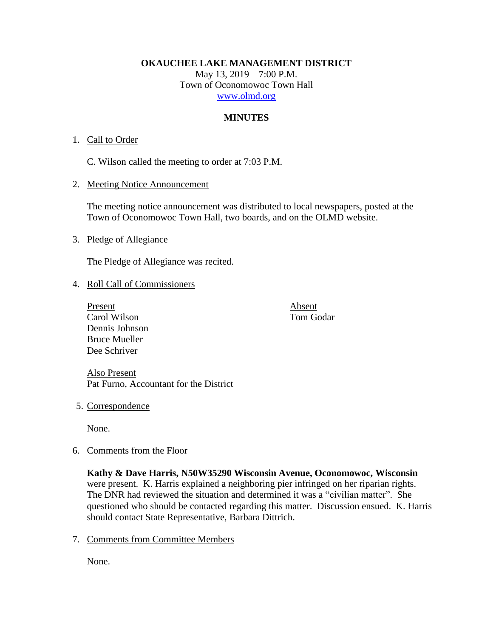**OKAUCHEE LAKE MANAGEMENT DISTRICT**

May 13, 2019 – 7:00 P.M. Town of Oconomowoc Town Hall [www.olmd.org](http://www.olmd.org/)

# **MINUTES**

# 1. Call to Order

C. Wilson called the meeting to order at 7:03 P.M.

2. Meeting Notice Announcement

The meeting notice announcement was distributed to local newspapers, posted at the Town of Oconomowoc Town Hall, two boards, and on the OLMD website.

3. Pledge of Allegiance

The Pledge of Allegiance was recited.

## 4. Roll Call of Commissioners

Present Absent Carol Wilson Tom Godar Dennis Johnson Bruce Mueller Dee Schriver

Also Present Pat Furno, Accountant for the District

5. Correspondence

None.

6. Comments from the Floor

**Kathy & Dave Harris, N50W35290 Wisconsin Avenue, Oconomowoc, Wisconsin** were present. K. Harris explained a neighboring pier infringed on her riparian rights. The DNR had reviewed the situation and determined it was a "civilian matter". She questioned who should be contacted regarding this matter. Discussion ensued. K. Harris should contact State Representative, Barbara Dittrich.

7. Comments from Committee Members

None.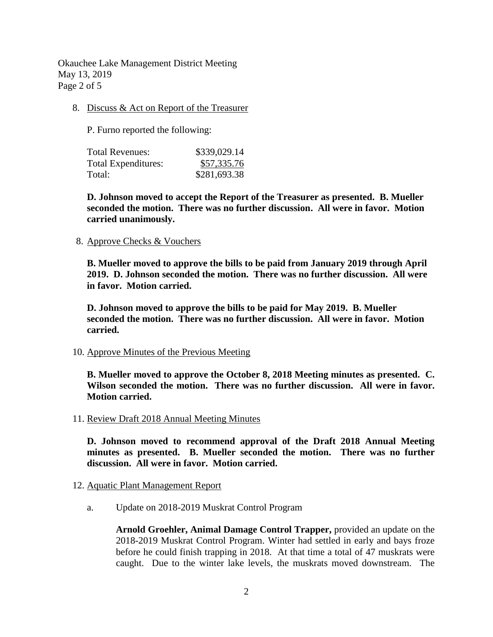Okauchee Lake Management District Meeting May 13, 2019 Page 2 of 5

8. Discuss & Act on Report of the Treasurer

P. Furno reported the following:

| Total Revenues:            | \$339,029.14 |
|----------------------------|--------------|
| <b>Total Expenditures:</b> | \$57,335.76  |
| Total:                     | \$281,693.38 |

**D. Johnson moved to accept the Report of the Treasurer as presented. B. Mueller seconded the motion. There was no further discussion. All were in favor. Motion carried unanimously.**

### 8. Approve Checks & Vouchers

**B. Mueller moved to approve the bills to be paid from January 2019 through April 2019. D. Johnson seconded the motion. There was no further discussion. All were in favor. Motion carried.**

**D. Johnson moved to approve the bills to be paid for May 2019. B. Mueller seconded the motion. There was no further discussion. All were in favor. Motion carried.**

#### 10. Approve Minutes of the Previous Meeting

**B. Mueller moved to approve the October 8, 2018 Meeting minutes as presented. C. Wilson seconded the motion. There was no further discussion. All were in favor. Motion carried.**

11. Review Draft 2018 Annual Meeting Minutes

**D. Johnson moved to recommend approval of the Draft 2018 Annual Meeting minutes as presented. B. Mueller seconded the motion. There was no further discussion. All were in favor. Motion carried.**

## 12. Aquatic Plant Management Report

a. Update on 2018-2019 Muskrat Control Program

**Arnold Groehler, Animal Damage Control Trapper,** provided an update on the 2018-2019 Muskrat Control Program. Winter had settled in early and bays froze before he could finish trapping in 2018. At that time a total of 47 muskrats were caught. Due to the winter lake levels, the muskrats moved downstream. The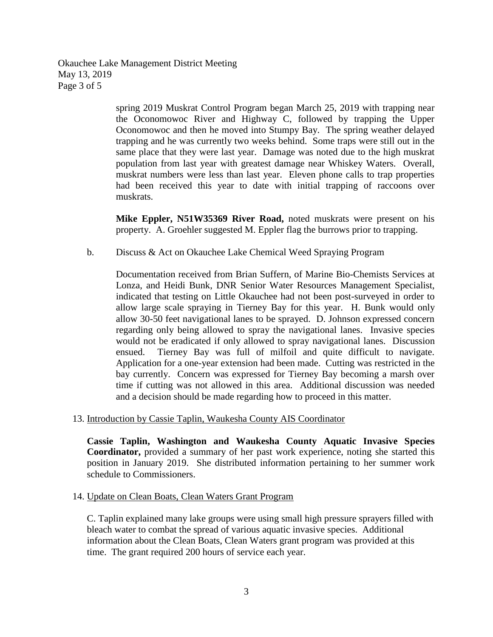Okauchee Lake Management District Meeting May 13, 2019 Page 3 of 5

> spring 2019 Muskrat Control Program began March 25, 2019 with trapping near the Oconomowoc River and Highway C, followed by trapping the Upper Oconomowoc and then he moved into Stumpy Bay. The spring weather delayed trapping and he was currently two weeks behind. Some traps were still out in the same place that they were last year. Damage was noted due to the high muskrat population from last year with greatest damage near Whiskey Waters. Overall, muskrat numbers were less than last year. Eleven phone calls to trap properties had been received this year to date with initial trapping of raccoons over muskrats.

> **Mike Eppler, N51W35369 River Road,** noted muskrats were present on his property. A. Groehler suggested M. Eppler flag the burrows prior to trapping.

b. Discuss & Act on Okauchee Lake Chemical Weed Spraying Program

Documentation received from Brian Suffern, of Marine Bio-Chemists Services at Lonza, and Heidi Bunk, DNR Senior Water Resources Management Specialist, indicated that testing on Little Okauchee had not been post-surveyed in order to allow large scale spraying in Tierney Bay for this year. H. Bunk would only allow 30-50 feet navigational lanes to be sprayed. D. Johnson expressed concern regarding only being allowed to spray the navigational lanes. Invasive species would not be eradicated if only allowed to spray navigational lanes. Discussion ensued. Tierney Bay was full of milfoil and quite difficult to navigate. Application for a one-year extension had been made. Cutting was restricted in the bay currently. Concern was expressed for Tierney Bay becoming a marsh over time if cutting was not allowed in this area. Additional discussion was needed and a decision should be made regarding how to proceed in this matter.

#### 13. Introduction by Cassie Taplin, Waukesha County AIS Coordinator

**Cassie Taplin, Washington and Waukesha County Aquatic Invasive Species Coordinator,** provided a summary of her past work experience, noting she started this position in January 2019. She distributed information pertaining to her summer work schedule to Commissioners.

### 14. Update on Clean Boats, Clean Waters Grant Program

C. Taplin explained many lake groups were using small high pressure sprayers filled with bleach water to combat the spread of various aquatic invasive species. Additional information about the Clean Boats, Clean Waters grant program was provided at this time. The grant required 200 hours of service each year.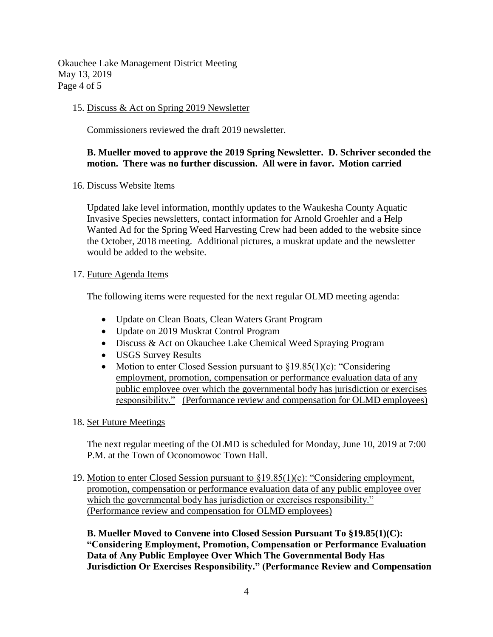Okauchee Lake Management District Meeting May 13, 2019 Page 4 of 5

## 15. Discuss & Act on Spring 2019 Newsletter

Commissioners reviewed the draft 2019 newsletter.

# **B. Mueller moved to approve the 2019 Spring Newsletter. D. Schriver seconded the motion. There was no further discussion. All were in favor. Motion carried**

### 16. Discuss Website Items

Updated lake level information, monthly updates to the Waukesha County Aquatic Invasive Species newsletters, contact information for Arnold Groehler and a Help Wanted Ad for the Spring Weed Harvesting Crew had been added to the website since the October, 2018 meeting. Additional pictures, a muskrat update and the newsletter would be added to the website.

### 17. Future Agenda Items

The following items were requested for the next regular OLMD meeting agenda:

- Update on Clean Boats, Clean Waters Grant Program
- Update on 2019 Muskrat Control Program
- Discuss & Act on Okauchee Lake Chemical Weed Spraying Program
- USGS Survey Results
- Motion to enter Closed Session pursuant to  $\S 19.85(1)(c)$ : "Considering employment, promotion, compensation or performance evaluation data of any public employee over which the governmental body has jurisdiction or exercises responsibility." (Performance review and compensation for OLMD employees)

## 18. Set Future Meetings

The next regular meeting of the OLMD is scheduled for Monday, June 10, 2019 at 7:00 P.M. at the Town of Oconomowoc Town Hall.

19. Motion to enter Closed Session pursuant to §19.85(1)(c): "Considering employment, promotion, compensation or performance evaluation data of any public employee over which the governmental body has jurisdiction or exercises responsibility." (Performance review and compensation for OLMD employees)

**B. Mueller Moved to Convene into Closed Session Pursuant To §19.85(1)(C): "Considering Employment, Promotion, Compensation or Performance Evaluation Data of Any Public Employee Over Which The Governmental Body Has Jurisdiction Or Exercises Responsibility." (Performance Review and Compensation**